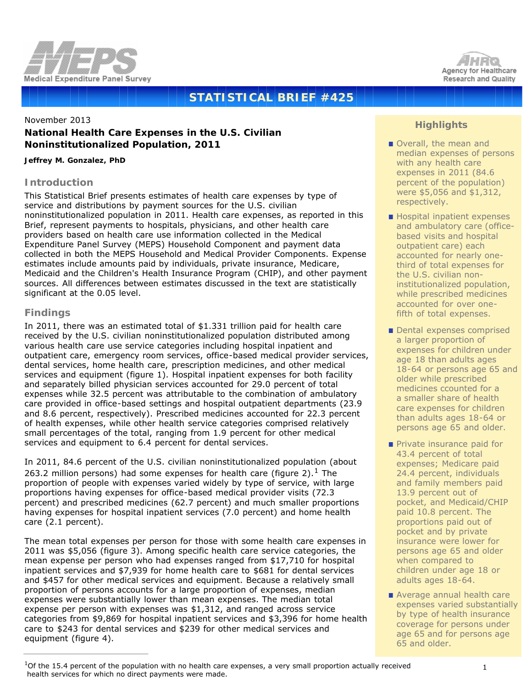



# **STATISTICAL BRIEF #425**

## November 2013 **National Health Care Expenses in the U.S. Civilian Noninstitutionalized Population, 2011**

#### *Jeffrey M. Gonzalez, PhD*

#### **Introduction**

This Statistical Brief presents estimates of health care expenses by type of service and distributions by payment sources for the U.S. civilian noninstitutionalized population in 2011. Health care expenses, as reported in this Brief, represent payments to hospitals, physicians, and other health care providers based on health care use information collected in the Medical Expenditure Panel Survey (MEPS) Household Component and payment data collected in both the MEPS Household and Medical Provider Components. Expense estimates include amounts paid by individuals, private insurance, Medicare, Medicaid and the Children's Health Insurance Program (CHIP), and other payment sources. All differences between estimates discussed in the text are statistically significant at the 0.05 level.

### **Findings**

In 2011, there was an estimated total of \$1.331 trillion paid for health care received by the U.S. civilian noninstitutionalized population distributed among various health care use service categories including hospital inpatient and outpatient care, emergency room services, office-based medical provider services, dental services, home health care, prescription medicines, and other medical services and equipment (figure 1). Hospital inpatient expenses for both facility and separately billed physician services accounted for 29.0 percent of total expenses while 32.5 percent was attributable to the combination of ambulatory care provided in office-based settings and hospital outpatient departments (23.9 and 8.6 percent, respectively). Prescribed medicines accounted for 22.3 percent of health expenses, while other health service categories comprised relatively small percentages of the total, ranging from 1.9 percent for other medical services and equipment to 6.4 percent for dental services.

In 2011, 84.6 percent of the U.S. civilian noninstitutionalized population (about 263.2 million persons) had some expenses for health care (figure 2).<sup>1</sup> The proportion of people with expenses varied widely by type of service, with large proportions having expenses for office-based medical provider visits (72.3 percent) and prescribed medicines (62.7 percent) and much smaller proportions having expenses for hospital inpatient services (7.0 percent) and home health care (2.1 percent).

The mean total expenses per person for those with some health care expenses in 2011 was \$5,056 (figure 3). Among specific health care service categories, the mean expense per person who had expenses ranged from \$17,710 for hospital inpatient services and \$7,939 for home health care to \$681 for dental services and \$457 for other medical services and equipment. Because a relatively small proportion of persons accounts for a large proportion of expenses, median expenses were substantially lower than mean expenses. The median total expense per person with expenses was \$1,312, and ranged across service categories from \$9,869 for hospital inpatient services and \$3,396 for home health care to \$243 for dental services and \$239 for other medical services and equipment (figure 4).

## **Highlights**

- Overall, the mean and median expenses of persons with any health care expenses in 2011 (84.6 percent of the population) were \$5,056 and \$1,312, respectively.
- **Hospital inpatient expenses** and ambulatory care (officebased visits and hospital outpatient care) each accounted for nearly onethird of total expenses for the U.S. civilian noninstitutionalized population, while prescribed medicines accounted for over onefifth of total expenses.
- Dental expenses comprised a larger proportion of expenses for children under age 18 than adults ages 18-64 or persons age 65 and older while prescribed medicines ccounted for a a smaller share of health care expenses for children than adults ages 18-64 or persons age 65 and older.
- Private insurance paid for 43.4 percent of total expenses; Medicare paid 24.4 percent, individuals and family members paid 13.9 percent out of pocket, and Medicaid/CHIP paid 10.8 percent. The proportions paid out of pocket and by private insurance were lower for persons age 65 and older when compared to children under age 18 or adults ages 18-64.
- Average annual health care expenses varied substantially by type of health insurance coverage for persons under age 65 and for persons age 65 and older.

 $10$ f the 15.4 percent of the population with no health care expenses, a very small proportion actually received health services for which no direct payments were made.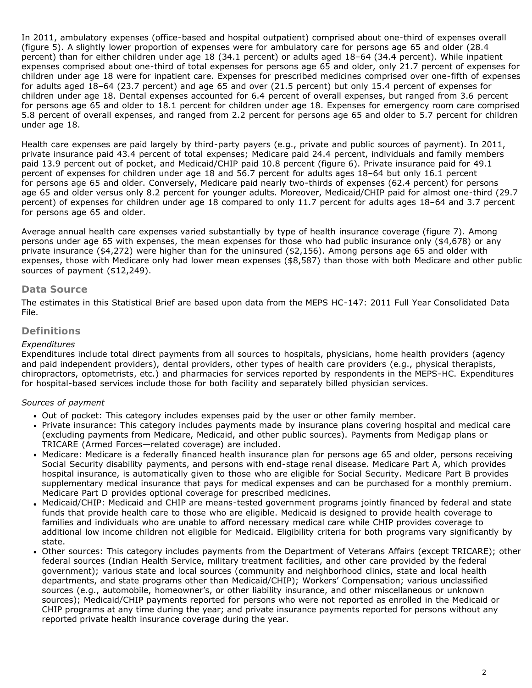In 2011, ambulatory expenses (office-based and hospital outpatient) comprised about one-third of expenses overall (figure 5). A slightly lower proportion of expenses were for ambulatory care for persons age 65 and older (28.4 percent) than for either children under age 18 (34.1 percent) or adults aged 18–64 (34.4 percent). While inpatient expenses comprised about one-third of total expenses for persons age 65 and older, only 21.7 percent of expenses for children under age 18 were for inpatient care. Expenses for prescribed medicines comprised over one-fifth of expenses for adults aged 18–64 (23.7 percent) and age 65 and over (21.5 percent) but only 15.4 percent of expenses for children under age 18. Dental expenses accounted for 6.4 percent of overall expenses, but ranged from 3.6 percent for persons age 65 and older to 18.1 percent for children under age 18. Expenses for emergency room care comprised 5.8 percent of overall expenses, and ranged from 2.2 percent for persons age 65 and older to 5.7 percent for children under age 18.

Health care expenses are paid largely by third-party payers (e.g., private and public sources of payment). In 2011, private insurance paid 43.4 percent of total expenses; Medicare paid 24.4 percent, individuals and family members paid 13.9 percent out of pocket, and Medicaid/CHIP paid 10.8 percent (figure 6). Private insurance paid for 49.1 percent of expenses for children under age 18 and 56.7 percent for adults ages 18–64 but only 16.1 percent for persons age 65 and older. Conversely, Medicare paid nearly two-thirds of expenses (62.4 percent) for persons age 65 and older versus only 8.2 percent for younger adults. Moreover, Medicaid/CHIP paid for almost one-third (29.7 percent) of expenses for children under age 18 compared to only 11.7 percent for adults ages 18–64 and 3.7 percent for persons age 65 and older.

Average annual health care expenses varied substantially by type of health insurance coverage (figure 7). Among persons under age 65 with expenses, the mean expenses for those who had public insurance only (\$4,678) or any private insurance (\$4,272) were higher than for the uninsured (\$2,156). Among persons age 65 and older with expenses, those with Medicare only had lower mean expenses (\$8,587) than those with both Medicare and other public sources of payment (\$12,249).

### **Data Source**

The estimates in this Statistical Brief are based upon data from the MEPS HC-147: 2011 Full Year Consolidated Data File.

## **Definitions**

#### *Expenditures*

Expenditures include total direct payments from all sources to hospitals, physicians, home health providers (agency and paid independent providers), dental providers, other types of health care providers (e.g., physical therapists, chiropractors, optometrists, etc.) and pharmacies for services reported by respondents in the MEPS-HC. Expenditures for hospital-based services include those for both facility and separately billed physician services.

### *Sources of payment*

- Out of pocket: This category includes expenses paid by the user or other family member.
- Private insurance: This category includes payments made by insurance plans covering hospital and medical care (excluding payments from Medicare, Medicaid, and other public sources). Payments from Medigap plans or TRICARE (Armed Forces—related coverage) are included.
- Medicare: Medicare is a federally financed health insurance plan for persons age 65 and older, persons receiving Social Security disability payments, and persons with end-stage renal disease. Medicare Part A, which provides hospital insurance, is automatically given to those who are eligible for Social Security. Medicare Part B provides supplementary medical insurance that pays for medical expenses and can be purchased for a monthly premium. Medicare Part D provides optional coverage for prescribed medicines.
- Medicaid/CHIP: Medicaid and CHIP are means-tested government programs jointly financed by federal and state funds that provide health care to those who are eligible. Medicaid is designed to provide health coverage to families and individuals who are unable to afford necessary medical care while CHIP provides coverage to additional low income children not eligible for Medicaid. Eligibility criteria for both programs vary significantly by state.
- Other sources: This category includes payments from the Department of Veterans Affairs (except TRICARE); other federal sources (Indian Health Service, military treatment facilities, and other care provided by the federal government); various state and local sources (community and neighborhood clinics, state and local health departments, and state programs other than Medicaid/CHIP); Workers' Compensation; various unclassified sources (e.g., automobile, homeowner's, or other liability insurance, and other miscellaneous or unknown sources); Medicaid/CHIP payments reported for persons who were not reported as enrolled in the Medicaid or CHIP programs at any time during the year; and private insurance payments reported for persons without any reported private health insurance coverage during the year.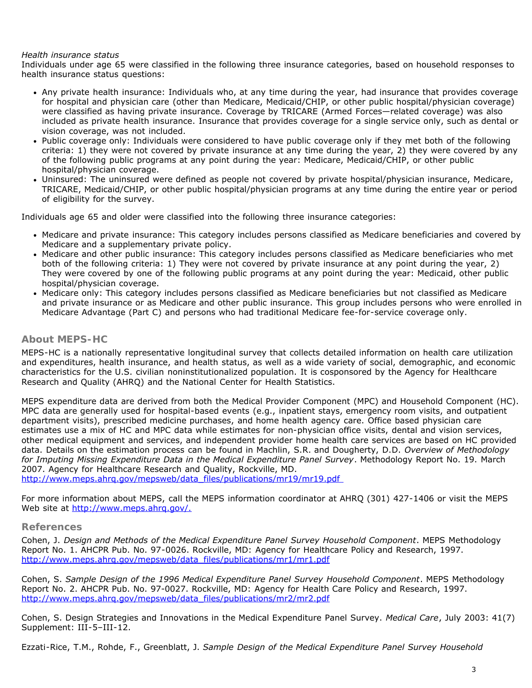#### *Health insurance status*

Individuals under age 65 were classified in the following three insurance categories, based on household responses to health insurance status questions:

- Any private health insurance: Individuals who, at any time during the year, had insurance that provides coverage for hospital and physician care (other than Medicare, Medicaid/CHIP, or other public hospital/physician coverage) were classified as having private insurance. Coverage by TRICARE (Armed Forces—related coverage) was also included as private health insurance. Insurance that provides coverage for a single service only, such as dental or vision coverage, was not included.
- Public coverage only: Individuals were considered to have public coverage only if they met both of the following criteria: 1) they were not covered by private insurance at any time during the year, 2) they were covered by any of the following public programs at any point during the year: Medicare, Medicaid/CHIP, or other public hospital/physician coverage.
- Uninsured: The uninsured were defined as people not covered by private hospital/physician insurance, Medicare, TRICARE, Medicaid/CHIP, or other public hospital/physician programs at any time during the entire year or period of eligibility for the survey.

Individuals age 65 and older were classified into the following three insurance categories:

- Medicare and private insurance: This category includes persons classified as Medicare beneficiaries and covered by Medicare and a supplementary private policy.
- Medicare and other public insurance: This category includes persons classified as Medicare beneficiaries who met both of the following criteria: 1) They were not covered by private insurance at any point during the year, 2) They were covered by one of the following public programs at any point during the year: Medicaid, other public hospital/physician coverage.
- Medicare only: This category includes persons classified as Medicare beneficiaries but not classified as Medicare and private insurance or as Medicare and other public insurance. This group includes persons who were enrolled in Medicare Advantage (Part C) and persons who had traditional Medicare fee-for-service coverage only.

## **About MEPS-HC**

MEPS-HC is a nationally representative longitudinal survey that collects detailed information on health care utilization and expenditures, health insurance, and health status, as well as a wide variety of social, demographic, and economic characteristics for the U.S. civilian noninstitutionalized population. It is cosponsored by the Agency for Healthcare Research and Quality (AHRQ) and the National Center for Health Statistics.

MEPS expenditure data are derived from both the Medical Provider Component (MPC) and Household Component (HC). MPC data are generally used for hospital-based events (e.g., inpatient stays, emergency room visits, and outpatient department visits), prescribed medicine purchases, and home health agency care. Office based physician care estimates use a mix of HC and MPC data while estimates for non-physician office visits, dental and vision services, other medical equipment and services, and independent provider home health care services are based on HC provided data. Details on the estimation process can be found in Machlin, S.R. and Dougherty, D.D. *Overview of Methodology for Imputing Missing Expenditure Data in the Medical Expenditure Panel Survey*. Methodology Report No. 19. March 2007. Agency for Healthcare Research and Quality, Rockville, MD.

[http://www.meps.ahrq.gov/mepsweb/data\\_files/publications/mr19/mr19.pdf](http://www.meps.ahrq.gov/mepsweb/data_files/publications/mr19/mr19.pdf)

For more information about MEPS, call the MEPS information coordinator at AHRQ (301) 427-1406 or visit the MEPS Web site at [http://www.meps.ahrq.gov/.](http://www.meps.ahrq.gov/)

#### **References**

Cohen, J. *Design and Methods of the Medical Expenditure Panel Survey Household Component*. MEPS Methodology Report No. 1. AHCPR Pub. No. 97-0026. Rockville, MD: Agency for Healthcare Policy and Research, 1997. [http://www.meps.ahrq.gov/mepsweb/data\\_files/publications/mr1/mr1.pdf](http://www.meps.ahrq.gov/mepsweb/data_files/publications/mr1/mr1.pdf)

Cohen, S. *Sample Design of the 1996 Medical Expenditure Panel Survey Household Component*. MEPS Methodology Report No. 2. AHCPR Pub. No. 97-0027. Rockville, MD: Agency for Health Care Policy and Research, 1997. [http://www.meps.ahrq.gov/mepsweb/data\\_files/publications/mr2/mr2.pdf](http://www.meps.ahrq.gov/mepsweb/data_files/publications/mr2/mr2.pdf)

Cohen, S. Design Strategies and Innovations in the Medical Expenditure Panel Survey. *Medical Care*, July 2003: 41(7) Supplement: III-5–III-12.

Ezzati-Rice, T.M., Rohde, F., Greenblatt, J. *Sample Design of the Medical Expenditure Panel Survey Household*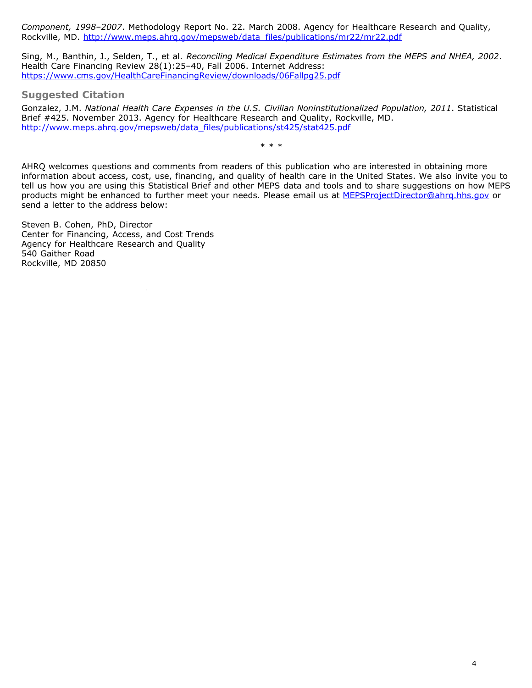*Component, 1998–2007*. Methodology Report No. 22. March 2008. Agency for Healthcare Research and Quality, Rockville, MD. [http://www.meps.ahrq.gov/mepsweb/data\\_files/publications/mr22/mr22.pdf](http://www.meps.ahrq.gov/mepsweb/data_files/publications/mr22/mr22.pdf)

Sing, M., Banthin, J., Selden, T., et al. *Reconciling Medical Expenditure Estimates from the MEPS and NHEA, 2002*. Health Care Financing Review 28(1):25–40, Fall 2006. Internet Address: <https://www.cms.gov/HealthCareFinancingReview/downloads/06Fallpg25.pdf>

#### **Suggested Citation**

Gonzalez, J.M. *National Health Care Expenses in the U.S. Civilian Noninstitutionalized Population, 2011*. Statistical Brief #425. November 2013. Agency for Healthcare Research and Quality, Rockville, MD. [http://www.meps.ahrq.gov/mepsweb/data\\_files/publications/st425/stat425.pdf](http://www.meps.ahrq.gov/mepsweb/data_files/publications/st425/stat425.pdf)

\* \* \*

AHRQ welcomes questions and comments from readers of this publication who are interested in obtaining more information about access, cost, use, financing, and quality of health care in the United States. We also invite you to tell us how you are using this Statistical Brief and other MEPS data and tools and to share suggestions on how MEPS products might be enhanced to further meet your needs. Please email us at [MEPSProjectDirector@ahrq.hhs.gov](mailto:MEPSProjectDirector@ahrq.hhs.gov) or send a letter to the address below:

Steven B. Cohen, PhD, Director Center for Financing, Access, and Cost Trends Agency for Healthcare Research and Quality 540 Gaither Road Rockville, MD 20850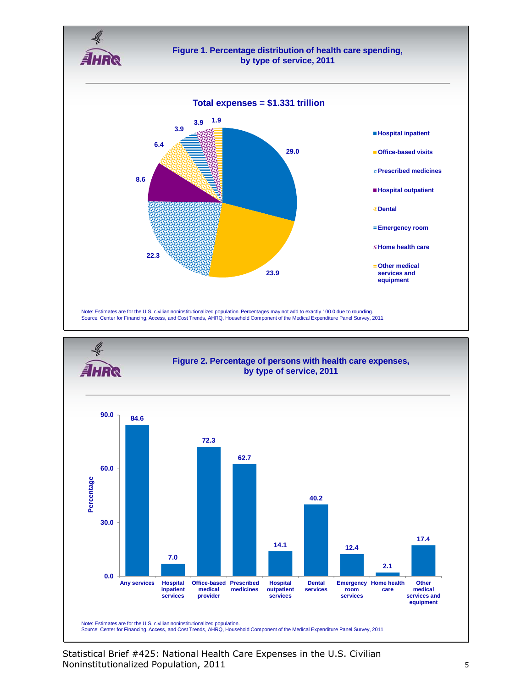



Statistical Brief #425: National Health Care Expenses in the U.S. Civilian Noninstitutionalized Population, 2011 5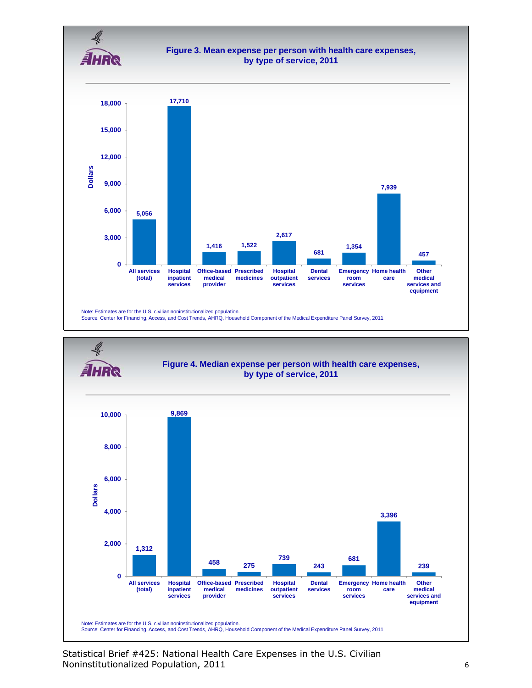

Statistical Brief #425: National Health Care Expenses in the U.S. Civilian Noninstitutionalized Population, 2011 66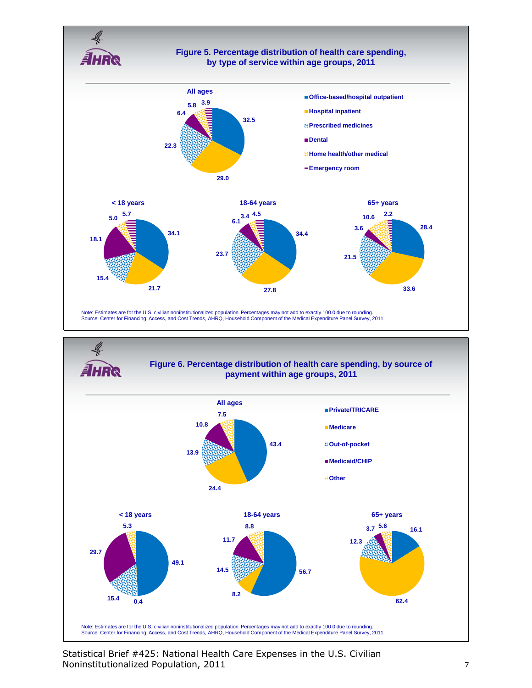

Statistical Brief #425: National Health Care Expenses in the U.S. Civilian Noninstitutionalized Population, 2011 7